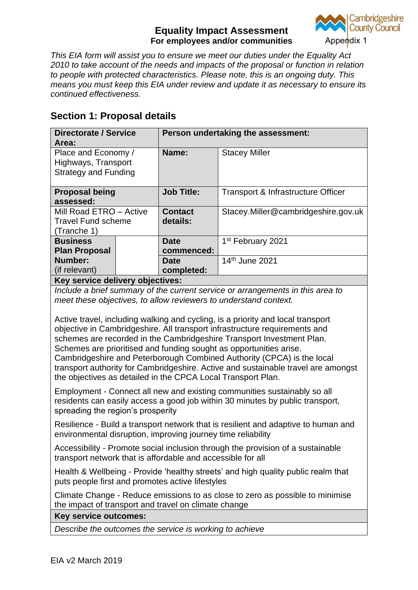

*This EIA form will assist you to ensure we meet our duties under the Equality Act 2010 to take account of the needs and impacts of the proposal or function in relation to people with protected characteristics. Please note, this is an ongoing duty. This means you must keep this EIA under review and update it as necessary to ensure its continued effectiveness.*

# **Section 1: Proposal details**

| <b>Directorate / Service</b><br>Area:                                     |  | Person undertaking the assessment: |                                     |  |  |
|---------------------------------------------------------------------------|--|------------------------------------|-------------------------------------|--|--|
| Place and Economy /<br>Highways, Transport<br><b>Strategy and Funding</b> |  | Name:                              | <b>Stacey Miller</b>                |  |  |
| <b>Proposal being</b><br>assessed:                                        |  | <b>Job Title:</b>                  | Transport & Infrastructure Officer  |  |  |
| Mill Road ETRO - Active<br><b>Travel Fund scheme</b><br>(Tranche 1)       |  | <b>Contact</b><br>details:         | Stacey.Miller@cambridgeshire.gov.uk |  |  |
| <b>Business</b>                                                           |  | <b>Date</b>                        | 1 <sup>st</sup> February 2021       |  |  |
| <b>Plan Proposal</b><br>Number:                                           |  | commenced:<br>Date                 | 14th June 2021                      |  |  |
| (if relevant)<br>Latin and state state.                                   |  | completed:                         |                                     |  |  |

**Key service delivery objectives:**

*Include a brief summary of the current service or arrangements in this area to meet these objectives, to allow reviewers to understand context.*

Active travel, including walking and cycling, is a priority and local transport objective in Cambridgeshire. All transport infrastructure requirements and schemes are recorded in the Cambridgeshire Transport Investment Plan. Schemes are prioritised and funding sought as opportunities arise. Cambridgeshire and Peterborough Combined Authority (CPCA) is the local transport authority for Cambridgeshire. Active and sustainable travel are amongst the objectives as detailed in the CPCA Local Transport Plan.

Employment - Connect all new and existing communities sustainably so all residents can easily access a good job within 30 minutes by public transport, spreading the region's prosperity

Resilience - Build a transport network that is resilient and adaptive to human and environmental disruption, improving journey time reliability

Accessibility - Promote social inclusion through the provision of a sustainable transport network that is affordable and accessible for all

Health & Wellbeing - Provide 'healthy streets' and high quality public realm that puts people first and promotes active lifestyles

Climate Change - Reduce emissions to as close to zero as possible to minimise the impact of transport and travel on climate change

**Key service outcomes:**

*Describe the outcomes the service is working to achieve*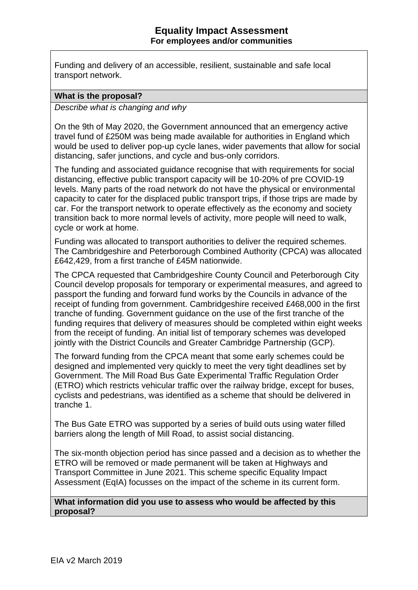Funding and delivery of an accessible, resilient, sustainable and safe local transport network.

#### **What is the proposal?**

*Describe what is changing and why*

On the 9th of May 2020, the Government announced that an emergency active travel fund of £250M was being made available for authorities in England which would be used to deliver pop-up cycle lanes, wider pavements that allow for social distancing, safer junctions, and cycle and bus-only corridors.

The funding and associated guidance recognise that with requirements for social distancing, effective public transport capacity will be 10-20% of pre COVID-19 levels. Many parts of the road network do not have the physical or environmental capacity to cater for the displaced public transport trips, if those trips are made by car. For the transport network to operate effectively as the economy and society transition back to more normal levels of activity, more people will need to walk, cycle or work at home.

Funding was allocated to transport authorities to deliver the required schemes. The Cambridgeshire and Peterborough Combined Authority (CPCA) was allocated £642,429, from a first tranche of £45M nationwide.

The CPCA requested that Cambridgeshire County Council and Peterborough City Council develop proposals for temporary or experimental measures, and agreed to passport the funding and forward fund works by the Councils in advance of the receipt of funding from government. Cambridgeshire received £468,000 in the first tranche of funding. Government guidance on the use of the first tranche of the funding requires that delivery of measures should be completed within eight weeks from the receipt of funding. An initial list of temporary schemes was developed jointly with the District Councils and Greater Cambridge Partnership (GCP).

The forward funding from the CPCA meant that some early schemes could be designed and implemented very quickly to meet the very tight deadlines set by Government. The Mill Road Bus Gate Experimental Traffic Regulation Order (ETRO) which restricts vehicular traffic over the railway bridge, except for buses, cyclists and pedestrians, was identified as a scheme that should be delivered in tranche 1.

The Bus Gate ETRO was supported by a series of build outs using water filled barriers along the length of Mill Road, to assist social distancing.

The six-month objection period has since passed and a decision as to whether the ETRO will be removed or made permanent will be taken at Highways and Transport Committee in June 2021. This scheme specific Equality Impact Assessment (EqIA) focusses on the impact of the scheme in its current form.

**What information did you use to assess who would be affected by this proposal?**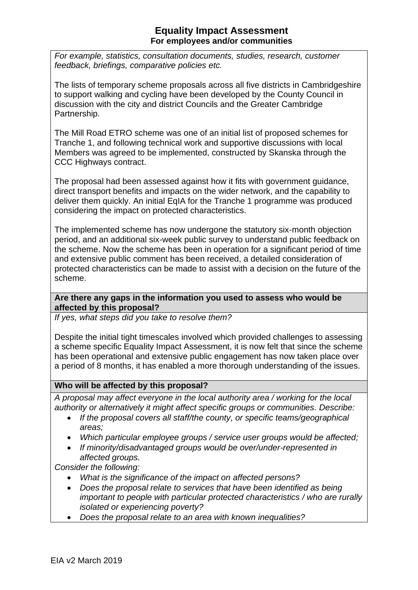*For example, statistics, consultation documents, studies, research, customer feedback, briefings, comparative policies etc.*

The lists of temporary scheme proposals across all five districts in Cambridgeshire to support walking and cycling have been developed by the County Council in discussion with the city and district Councils and the Greater Cambridge Partnership.

The Mill Road ETRO scheme was one of an initial list of proposed schemes for Tranche 1, and following technical work and supportive discussions with local Members was agreed to be implemented, constructed by Skanska through the CCC Highways contract.

The proposal had been assessed against how it fits with government guidance, direct transport benefits and impacts on the wider network, and the capability to deliver them quickly. An initial EqIA for the Tranche 1 programme was produced considering the impact on protected characteristics.

The implemented scheme has now undergone the statutory six-month objection period, and an additional six-week public survey to understand public feedback on the scheme. Now the scheme has been in operation for a significant period of time and extensive public comment has been received, a detailed consideration of protected characteristics can be made to assist with a decision on the future of the scheme.

**Are there any gaps in the information you used to assess who would be affected by this proposal?** 

*If yes, what steps did you take to resolve them?*

Despite the initial tight timescales involved which provided challenges to assessing a scheme specific Equality Impact Assessment, it is now felt that since the scheme has been operational and extensive public engagement has now taken place over a period of 8 months, it has enabled a more thorough understanding of the issues.

#### **Who will be affected by this proposal?**

*A proposal may affect everyone in the local authority area / working for the local authority or alternatively it might affect specific groups or communities. Describe:*

- *If the proposal covers all staff/the county, or specific teams/geographical areas;*
- *Which particular employee groups / service user groups would be affected;*
- *If minority/disadvantaged groups would be over/under-represented in affected groups.*

*Consider the following:*

- *What is the significance of the impact on affected persons?*
- *Does the proposal relate to services that have been identified as being important to people with particular protected characteristics / who are rurally isolated or experiencing poverty?*
- *Does the proposal relate to an area with known inequalities?*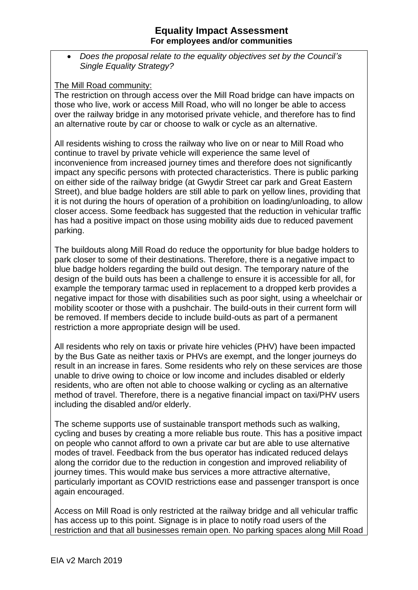• *Does the proposal relate to the equality objectives set by the Council's Single Equality Strategy?*

#### The Mill Road community:

The restriction on through access over the Mill Road bridge can have impacts on those who live, work or access Mill Road, who will no longer be able to access over the railway bridge in any motorised private vehicle, and therefore has to find an alternative route by car or choose to walk or cycle as an alternative.

All residents wishing to cross the railway who live on or near to Mill Road who continue to travel by private vehicle will experience the same level of inconvenience from increased journey times and therefore does not significantly impact any specific persons with protected characteristics. There is public parking on either side of the railway bridge (at Gwydir Street car park and Great Eastern Street), and blue badge holders are still able to park on yellow lines, providing that it is not during the hours of operation of a prohibition on loading/unloading, to allow closer access. Some feedback has suggested that the reduction in vehicular traffic has had a positive impact on those using mobility aids due to reduced pavement parking.

The buildouts along Mill Road do reduce the opportunity for blue badge holders to park closer to some of their destinations. Therefore, there is a negative impact to blue badge holders regarding the build out design. The temporary nature of the design of the build outs has been a challenge to ensure it is accessible for all, for example the temporary tarmac used in replacement to a dropped kerb provides a negative impact for those with disabilities such as poor sight, using a wheelchair or mobility scooter or those with a pushchair. The build-outs in their current form will be removed. If members decide to include build-outs as part of a permanent restriction a more appropriate design will be used.

All residents who rely on taxis or private hire vehicles (PHV) have been impacted by the Bus Gate as neither taxis or PHVs are exempt, and the longer journeys do result in an increase in fares. Some residents who rely on these services are those unable to drive owing to choice or low income and includes disabled or elderly residents, who are often not able to choose walking or cycling as an alternative method of travel. Therefore, there is a negative financial impact on taxi/PHV users including the disabled and/or elderly.

The scheme supports use of sustainable transport methods such as walking, cycling and buses by creating a more reliable bus route. This has a positive impact on people who cannot afford to own a private car but are able to use alternative modes of travel. Feedback from the bus operator has indicated reduced delays along the corridor due to the reduction in congestion and improved reliability of journey times. This would make bus services a more attractive alternative, particularly important as COVID restrictions ease and passenger transport is once again encouraged.

Access on Mill Road is only restricted at the railway bridge and all vehicular traffic has access up to this point. Signage is in place to notify road users of the restriction and that all businesses remain open. No parking spaces along Mill Road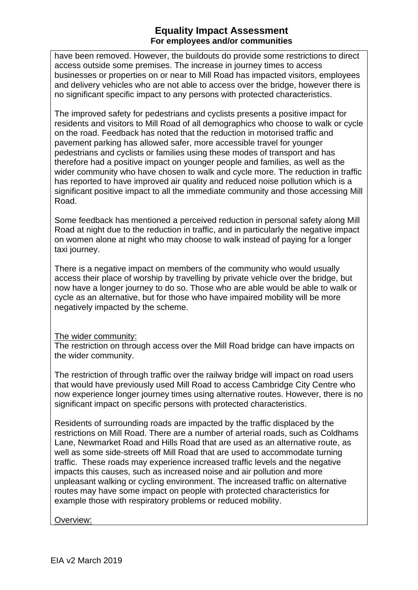have been removed. However, the buildouts do provide some restrictions to direct access outside some premises. The increase in journey times to access businesses or properties on or near to Mill Road has impacted visitors, employees and delivery vehicles who are not able to access over the bridge, however there is no significant specific impact to any persons with protected characteristics.

The improved safety for pedestrians and cyclists presents a positive impact for residents and visitors to Mill Road of all demographics who choose to walk or cycle on the road. Feedback has noted that the reduction in motorised traffic and pavement parking has allowed safer, more accessible travel for younger pedestrians and cyclists or families using these modes of transport and has therefore had a positive impact on younger people and families, as well as the wider community who have chosen to walk and cycle more. The reduction in traffic has reported to have improved air quality and reduced noise pollution which is a significant positive impact to all the immediate community and those accessing Mill Road.

Some feedback has mentioned a perceived reduction in personal safety along Mill Road at night due to the reduction in traffic, and in particularly the negative impact on women alone at night who may choose to walk instead of paying for a longer taxi journey.

There is a negative impact on members of the community who would usually access their place of worship by travelling by private vehicle over the bridge, but now have a longer journey to do so. Those who are able would be able to walk or cycle as an alternative, but for those who have impaired mobility will be more negatively impacted by the scheme.

#### The wider community:

The restriction on through access over the Mill Road bridge can have impacts on the wider community.

The restriction of through traffic over the railway bridge will impact on road users that would have previously used Mill Road to access Cambridge City Centre who now experience longer journey times using alternative routes. However, there is no significant impact on specific persons with protected characteristics.

Residents of surrounding roads are impacted by the traffic displaced by the restrictions on Mill Road. There are a number of arterial roads, such as Coldhams Lane, Newmarket Road and Hills Road that are used as an alternative route, as well as some side-streets off Mill Road that are used to accommodate turning traffic. These roads may experience increased traffic levels and the negative impacts this causes, such as increased noise and air pollution and more unpleasant walking or cycling environment. The increased traffic on alternative routes may have some impact on people with protected characteristics for example those with respiratory problems or reduced mobility.

Overview: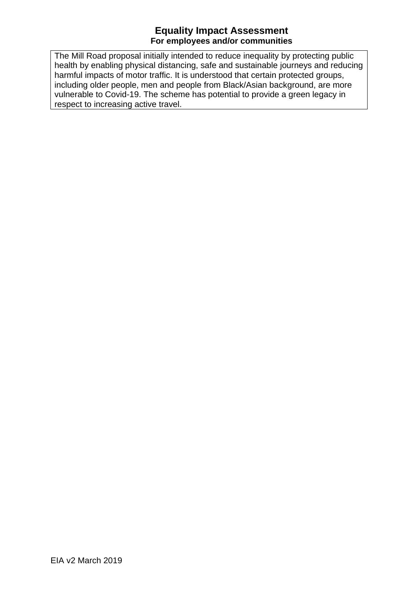The Mill Road proposal initially intended to reduce inequality by protecting public health by enabling physical distancing, safe and sustainable journeys and reducing harmful impacts of motor traffic. It is understood that certain protected groups, including older people, men and people from Black/Asian background, are more vulnerable to Covid-19. The scheme has potential to provide a green legacy in respect to increasing active travel.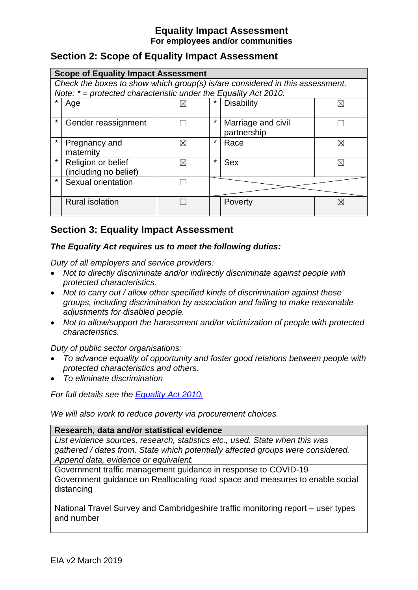# **Section 2: Scope of Equality Impact Assessment**

|         | <b>Scope of Equality Impact Assessment</b>                                   |   |         |                    |             |  |  |  |  |
|---------|------------------------------------------------------------------------------|---|---------|--------------------|-------------|--|--|--|--|
|         | Check the boxes to show which group(s) is/are considered in this assessment. |   |         |                    |             |  |  |  |  |
|         | Note: $* =$ protected characteristic under the Equality Act 2010.            |   |         |                    |             |  |  |  |  |
|         | Age                                                                          | ⋈ |         | <b>Disability</b>  | $\boxtimes$ |  |  |  |  |
|         |                                                                              |   |         |                    |             |  |  |  |  |
| *       | Gender reassignment                                                          |   | $\star$ | Marriage and civil |             |  |  |  |  |
|         |                                                                              |   |         | partnership        |             |  |  |  |  |
| $\star$ | Pregnancy and                                                                | ⊠ | $\star$ | Race               | X           |  |  |  |  |
|         | maternity                                                                    |   |         |                    |             |  |  |  |  |
| $\star$ | Religion or belief                                                           | ⊠ | $\star$ | <b>Sex</b>         | $\boxtimes$ |  |  |  |  |
|         | (including no belief)                                                        |   |         |                    |             |  |  |  |  |
| $\star$ | Sexual orientation                                                           |   |         |                    |             |  |  |  |  |
|         |                                                                              |   |         |                    |             |  |  |  |  |
|         | <b>Rural isolation</b>                                                       |   |         | Poverty            | $\boxtimes$ |  |  |  |  |
|         |                                                                              |   |         |                    |             |  |  |  |  |

# **Section 3: Equality Impact Assessment**

### *The Equality Act requires us to meet the following duties:*

*Duty of all employers and service providers:* 

- *Not to directly discriminate and/or indirectly discriminate against people with protected characteristics.*
- *Not to carry out / allow other specified kinds of discrimination against these groups, including discrimination by association and failing to make reasonable adjustments for disabled people.*
- *Not to allow/support the harassment and/or victimization of people with protected characteristics.*

*Duty of public sector organisations:* 

- *To advance equality of opportunity and foster good relations between people with protected characteristics and others.*
- *To eliminate discrimination*

*For full details see the [Equality Act 2010.](https://www.legislation.gov.uk/ukpga/2010/15/contents)*

*We will also work to reduce poverty via procurement choices.*

**Research, data and/or statistical evidence**

*List evidence sources, research, statistics etc., used. State when this was gathered / dates from. State which potentially affected groups were considered. Append data, evidence or equivalent.*

Government traffic management guidance in response to COVID-19 Government guidance on Reallocating road space and measures to enable social distancing

National Travel Survey and Cambridgeshire traffic monitoring report – user types and number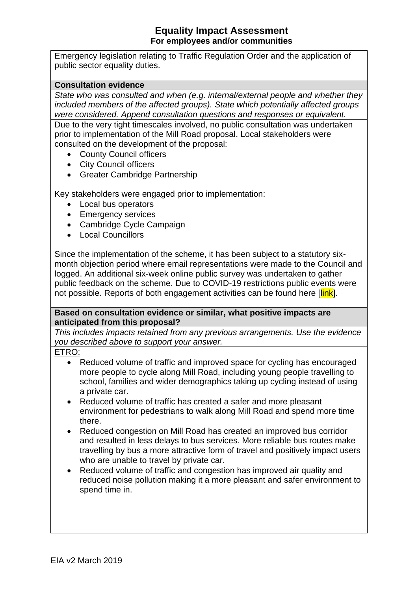Emergency legislation relating to Traffic Regulation Order and the application of public sector equality duties.

#### **Consultation evidence**

*State who was consulted and when (e.g. internal/external people and whether they included members of the affected groups). State which potentially affected groups were considered. Append consultation questions and responses or equivalent.*

Due to the very tight timescales involved, no public consultation was undertaken prior to implementation of the Mill Road proposal. Local stakeholders were consulted on the development of the proposal:

- County Council officers
- City Council officers
- Greater Cambridge Partnership

Key stakeholders were engaged prior to implementation:

- Local bus operators
- Emergency services
- Cambridge Cycle Campaign
- Local Councillors

Since the implementation of the scheme, it has been subject to a statutory sixmonth objection period where email representations were made to the Council and logged. An additional six-week online public survey was undertaken to gather public feedback on the scheme. Due to COVID-19 restrictions public events were not possible. Reports of both engagement activities can be found here [link].

**Based on consultation evidence or similar, what positive impacts are anticipated from this proposal?**

*This includes impacts retained from any previous arrangements. Use the evidence you described above to support your answer.*

ETRO:

- Reduced volume of traffic and improved space for cycling has encouraged more people to cycle along Mill Road, including young people travelling to school, families and wider demographics taking up cycling instead of using a private car.
- Reduced volume of traffic has created a safer and more pleasant environment for pedestrians to walk along Mill Road and spend more time there.
- Reduced congestion on Mill Road has created an improved bus corridor and resulted in less delays to bus services. More reliable bus routes make travelling by bus a more attractive form of travel and positively impact users who are unable to travel by private car.
- Reduced volume of traffic and congestion has improved air quality and reduced noise pollution making it a more pleasant and safer environment to spend time in.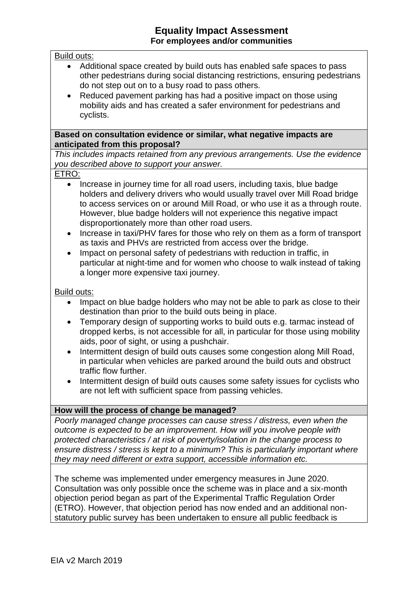#### Build outs:

- Additional space created by build outs has enabled safe spaces to pass other pedestrians during social distancing restrictions, ensuring pedestrians do not step out on to a busy road to pass others.
- Reduced pavement parking has had a positive impact on those using mobility aids and has created a safer environment for pedestrians and cyclists.

#### **Based on consultation evidence or similar, what negative impacts are anticipated from this proposal?**

*This includes impacts retained from any previous arrangements. Use the evidence you described above to support your answer.*

#### ETRO:

- Increase in journey time for all road users, including taxis, blue badge holders and delivery drivers who would usually travel over Mill Road bridge to access services on or around Mill Road, or who use it as a through route. However, blue badge holders will not experience this negative impact disproportionately more than other road users.
- Increase in taxi/PHV fares for those who rely on them as a form of transport as taxis and PHVs are restricted from access over the bridge.
- Impact on personal safety of pedestrians with reduction in traffic, in particular at night-time and for women who choose to walk instead of taking a longer more expensive taxi journey.

#### Build outs:

- Impact on blue badge holders who may not be able to park as close to their destination than prior to the build outs being in place.
- Temporary design of supporting works to build outs e.g. tarmac instead of dropped kerbs, is not accessible for all, in particular for those using mobility aids, poor of sight, or using a pushchair.
- Intermittent design of build outs causes some congestion along Mill Road, in particular when vehicles are parked around the build outs and obstruct traffic flow further.
- Intermittent design of build outs causes some safety issues for cyclists who are not left with sufficient space from passing vehicles.

#### **How will the process of change be managed?**

*Poorly managed change processes can cause stress / distress, even when the outcome is expected to be an improvement. How will you involve people with protected characteristics / at risk of poverty/isolation in the change process to ensure distress / stress is kept to a minimum? This is particularly important where they may need different or extra support, accessible information etc.*

The scheme was implemented under emergency measures in June 2020. Consultation was only possible once the scheme was in place and a six-month objection period began as part of the Experimental Traffic Regulation Order (ETRO). However, that objection period has now ended and an additional nonstatutory public survey has been undertaken to ensure all public feedback is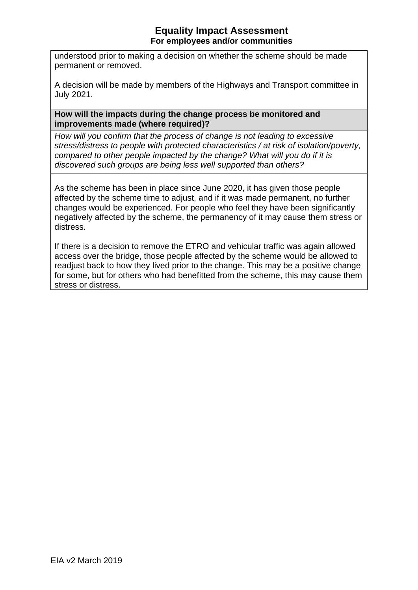understood prior to making a decision on whether the scheme should be made permanent or removed.

A decision will be made by members of the Highways and Transport committee in July 2021.

#### **How will the impacts during the change process be monitored and improvements made (where required)?**

*How will you confirm that the process of change is not leading to excessive stress/distress to people with protected characteristics / at risk of isolation/poverty, compared to other people impacted by the change? What will you do if it is discovered such groups are being less well supported than others?*

As the scheme has been in place since June 2020, it has given those people affected by the scheme time to adjust, and if it was made permanent, no further changes would be experienced. For people who feel they have been significantly negatively affected by the scheme, the permanency of it may cause them stress or distress.

If there is a decision to remove the ETRO and vehicular traffic was again allowed access over the bridge, those people affected by the scheme would be allowed to readjust back to how they lived prior to the change. This may be a positive change for some, but for others who had benefitted from the scheme, this may cause them stress or distress.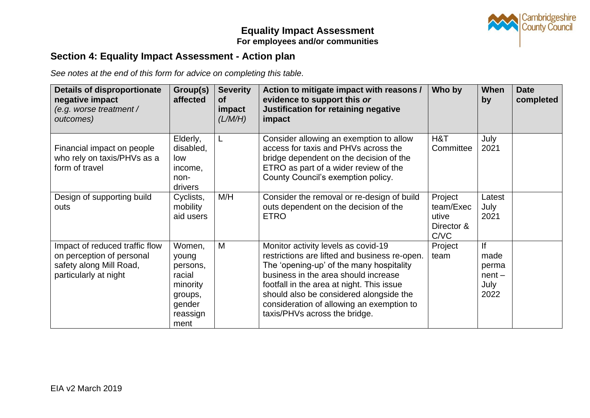

# **Section 4: Equality Impact Assessment - Action plan**

*See notes at the end of this form for advice on completing this table.* 

| <b>Details of disproportionate</b><br>negative impact<br>(e.g. worse treatment /<br>outcomes)                   | Group(s)<br>affected                                                                       | <b>Severity</b><br><b>of</b><br>impact<br>(L/M/H) | Action to mitigate impact with reasons /<br>evidence to support this or<br>Justification for retaining negative<br>impact                                                                                                                                                                                                                      | Who by                                              | When<br>by                                      | <b>Date</b><br>completed |
|-----------------------------------------------------------------------------------------------------------------|--------------------------------------------------------------------------------------------|---------------------------------------------------|------------------------------------------------------------------------------------------------------------------------------------------------------------------------------------------------------------------------------------------------------------------------------------------------------------------------------------------------|-----------------------------------------------------|-------------------------------------------------|--------------------------|
| Financial impact on people<br>who rely on taxis/PHVs as a<br>form of travel                                     | Elderly,<br>disabled,<br>low<br>income,<br>non-<br>drivers                                 | L.                                                | Consider allowing an exemption to allow<br>access for taxis and PHVs across the<br>bridge dependent on the decision of the<br>ETRO as part of a wider review of the<br>County Council's exemption policy.                                                                                                                                      | H&T<br>Committee                                    | July<br>2021                                    |                          |
| Design of supporting build<br>outs                                                                              | Cyclists,<br>mobility<br>aid users                                                         | M/H                                               | Consider the removal or re-design of build<br>outs dependent on the decision of the<br><b>ETRO</b>                                                                                                                                                                                                                                             | Project<br>team/Exec<br>utive<br>Director &<br>C/VC | Latest<br>July<br>2021                          |                          |
| Impact of reduced traffic flow<br>on perception of personal<br>safety along Mill Road,<br>particularly at night | Women,<br>young<br>persons,<br>racial<br>minority<br>groups,<br>gender<br>reassign<br>ment | M                                                 | Monitor activity levels as covid-19<br>restrictions are lifted and business re-open.<br>The 'opening-up' of the many hospitality<br>business in the area should increase<br>footfall in the area at night. This issue<br>should also be considered alongside the<br>consideration of allowing an exemption to<br>taxis/PHVs across the bridge. | Project<br>team                                     | lf<br>made<br>perma<br>$nent -$<br>July<br>2022 |                          |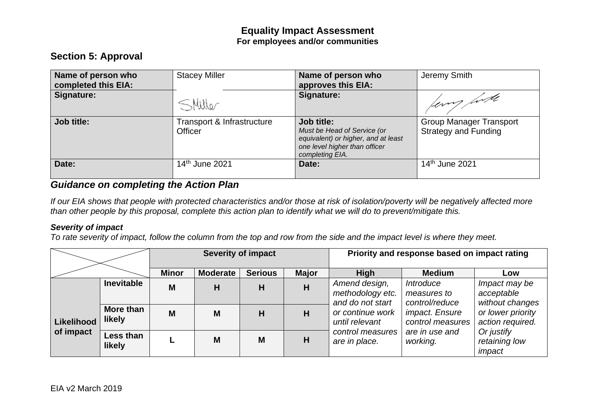# **Section 5: Approval**

| Name of person who<br>completed this EIA: | <b>Stacey Miller</b>                         | Name of person who<br>approves this EIA:                                                                                             | Jeremy Smith                                                  |
|-------------------------------------------|----------------------------------------------|--------------------------------------------------------------------------------------------------------------------------------------|---------------------------------------------------------------|
| Signature:                                | SMiller                                      | Signature:                                                                                                                           | ferry first                                                   |
| Job title:                                | Transport & Infrastructure<br><b>Officer</b> | Job title:<br>Must be Head of Service (or<br>equivalent) or higher, and at least<br>one level higher than officer<br>completing EIA. | <b>Group Manager Transport</b><br><b>Strategy and Funding</b> |
| Date:                                     | 14th June 2021                               | Date:                                                                                                                                | 14 <sup>th</sup> June 2021                                    |

## *Guidance on completing the Action Plan*

*If our EIA shows that people with protected characteristics and/or those at risk of isolation/poverty will be negatively affected more than other people by this proposal, complete this action plan to identify what we will do to prevent/mitigate this.*

#### *Severity of impact*

*To rate severity of impact, follow the column from the top and row from the side and the impact level is where they meet.*

|                         |                            | <b>Severity of impact</b> |                 |                | Priority and response based on impact rating |                                                       |                                                                                             |                                                |
|-------------------------|----------------------------|---------------------------|-----------------|----------------|----------------------------------------------|-------------------------------------------------------|---------------------------------------------------------------------------------------------|------------------------------------------------|
|                         |                            | <b>Minor</b>              | <b>Moderate</b> | <b>Serious</b> | <b>Major</b>                                 | <b>High</b>                                           | <b>Medium</b>                                                                               | Low                                            |
|                         | <b>Inevitable</b>          | M                         | Н               | H              | H                                            | Amend design,<br>methodology etc.<br>and do not start | Introduce<br>measures to<br>control/reduce                                                  | Impact may be<br>acceptable<br>without changes |
| Likelihood<br>of impact | More than<br><b>likely</b> | M                         | M               | H              | н                                            | or continue work<br>until relevant                    | <i>impact. Ensure</i><br>control measures<br>are in use and<br>control measures<br>working. | or lower priority<br>action required.          |
|                         | Less than<br>likely        |                           | M               | M              | H                                            | are in place.                                         |                                                                                             | Or justify<br>retaining low<br>impact          |